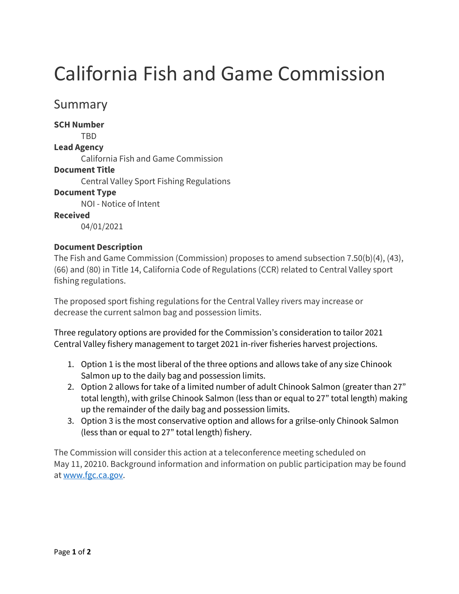# California Fish and Game Commission

# Summary

**SCH Number** 

TBD

#### **Lead Agency**

California Fish and Game Commission

### **Document Title**

Central Valley Sport Fishing Regulations

## **Document Type**

NOI - Notice of Intent

#### **Received**

04/01/2021

### **Document Description**

The Fish and Game Commission (Commission) proposes to amend subsection 7.50(b)(4), (43), (66) and (80) in Title 14, California Code of Regulations (CCR) related to Central Valley sport fishing regulations.

The proposed sport fishing regulations for the Central Valley rivers may increase or decrease the current salmon bag and possession limits.

Three regulatory options are provided for the Commission's consideration to tailor 2021 Central Valley fishery management to target 2021 in-river fisheries harvest projections.

- 1. Option 1 is the most liberal of the three options and allows take of any size Chinook Salmon up to the daily bag and possession limits.
- 2. Option 2 allows for take of a limited number of adult Chinook Salmon (greater than 27" total length), with grilse Chinook Salmon (less than or equal to 27" total length) making up the remainder of the daily bag and possession limits.
- 3. Option 3 is the most conservative option and allows for a grilse-only Chinook Salmon (less than or equal to 27" total length) fishery.

The Commission will consider this action at a teleconference meeting scheduled on May 11, 20210. Background information and information on public participation may be found a[t www.fgc.ca.gov.](http://www.fgc.ca.gov/)